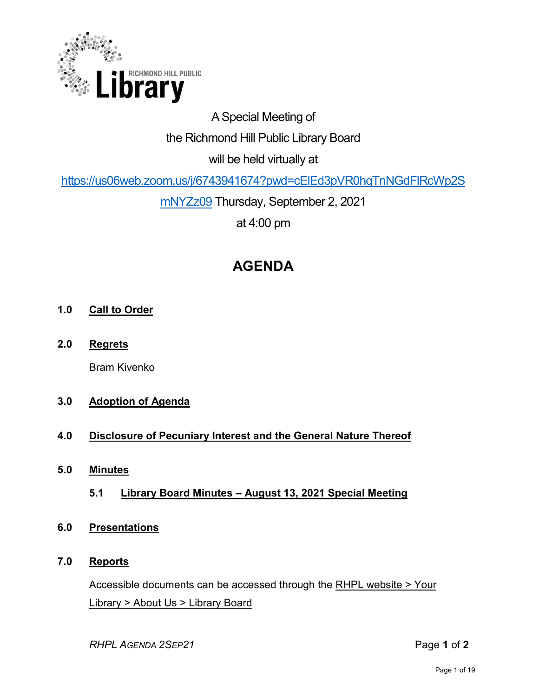

# A Special Meeting of

# the Richmond Hill Public Library Board

will be held virtually at

[https://us06web.zoom.us/j/6743941674?pwd=cElEd3pVR0hqTnNGdFlRcWp2S](https://us06web.zoom.us/j/6743941674?pwd=cElEd3pVR0hqTnNGdFlRcWp2SmNYZz09)

[mNYZz09](https://us06web.zoom.us/j/6743941674?pwd=cElEd3pVR0hqTnNGdFlRcWp2SmNYZz09) Thursday, September 2, 2021

at 4:00 pm

# **AGENDA**

# **1.0 Call to Order**

**2.0 Regrets**

Bram Kivenko

# **3.0 Adoption of Agenda**

# **4.0 Disclosure of Pecuniary Interest and the General Nature Thereof**

- **5.0 Minutes** 
	- **5.1 Library Board Minutes August 13, 2021 Special Meeting**

# **6.0 Presentations**

## **7.0 Reports**

Accessible documents can be accessed through the [RHPL website > Your](https://www.rhpl.ca/your-library/about-us/library-board)  Library [> About Us > Library Board](https://www.rhpl.ca/your-library/about-us/library-board)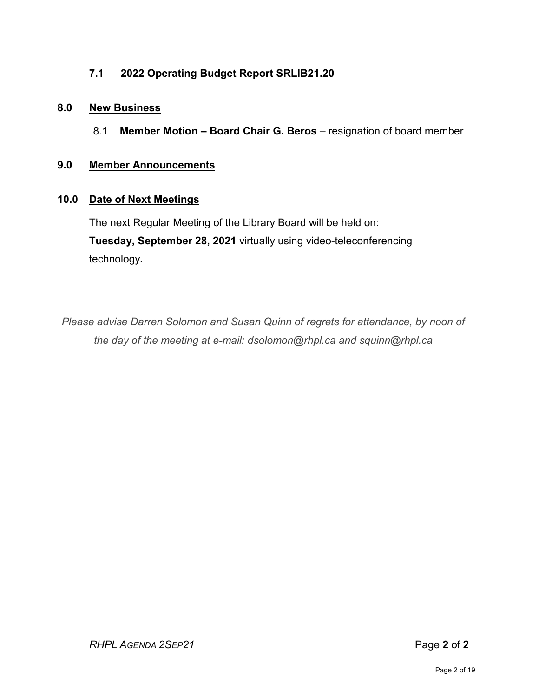# **7.1 2022 Operating Budget Report SRLIB21.20**

## **8.0 New Business**

8.1 **Member Motion – Board Chair G. Beros** – resignation of board member

## **9.0 Member Announcements**

## **10.0 Date of Next Meetings**

The next Regular Meeting of the Library Board will be held on: **Tuesday, September 28, 2021** virtually using video-teleconferencing technology**.** 

*Please advise Darren Solomon and Susan Quinn of regrets for attendance, by noon of the day of the meeting at e-mail: dsolomon@rhpl.ca and squinn@rhpl.ca*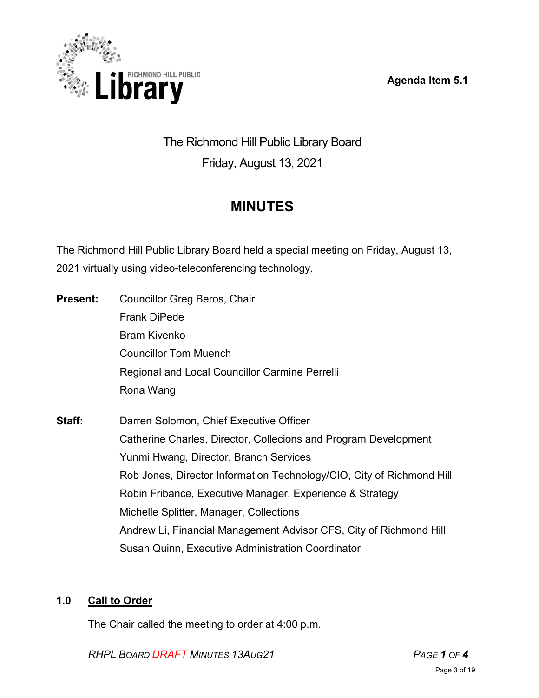**Agenda Item 5.1** 



# The Richmond Hill Public Library Board Friday, August 13, 2021

# **MINUTES**

The Richmond Hill Public Library Board held a special meeting on Friday, August 13, 2021 virtually using video-teleconferencing technology.

- **Present:** Councillor Greg Beros, Chair Frank DiPede Bram Kivenko Councillor Tom Muench Regional and Local Councillor Carmine Perrelli Rona Wang
- **Staff:** Darren Solomon, Chief Executive Officer Catherine Charles, Director, Collecions and Program Development Yunmi Hwang, Director, Branch Services Rob Jones, Director Information Technology/CIO, City of Richmond Hill Robin Fribance, Executive Manager, Experience & Strategy Michelle Splitter, Manager, Collections Andrew Li, Financial Management Advisor CFS, City of Richmond Hill Susan Quinn, Executive Administration Coordinator

# **1.0 Call to Order**

The Chair called the meeting to order at 4:00 p.m.

*RHPL BOARD DRAFT MINUTES 13AUG21 PAGE 1 OF 4*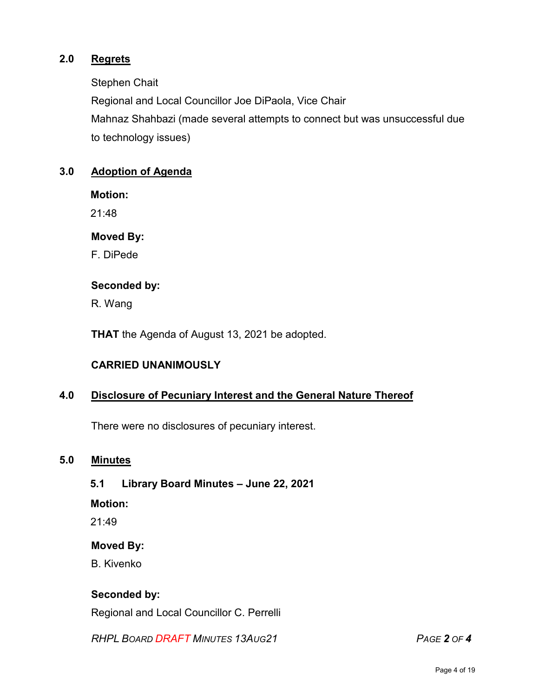## **2.0 Regrets**

Stephen Chait

Regional and Local Councillor Joe DiPaola, Vice Chair

Mahnaz Shahbazi (made several attempts to connect but was unsuccessful due to technology issues)

## **3.0 Adoption of Agenda**

**Motion:** 

21:48

### **Moved By:**

F. DiPede

### **Seconded by:**

R. Wang

**THAT** the Agenda of August 13, 2021 be adopted.

## **CARRIED UNANIMOUSLY**

## **4.0 Disclosure of Pecuniary Interest and the General Nature Thereof**

There were no disclosures of pecuniary interest.

#### **5.0 Minutes**

## **5.1 Library Board Minutes – June 22, 2021**

**Motion:**

 $21.49$ 

#### **Moved By:**

B. Kivenko

## **Seconded by:**

Regional and Local Councillor C. Perrelli

*RHPL BOARD DRAFT MINUTES 13AUG21 PAGE 2 OF 4*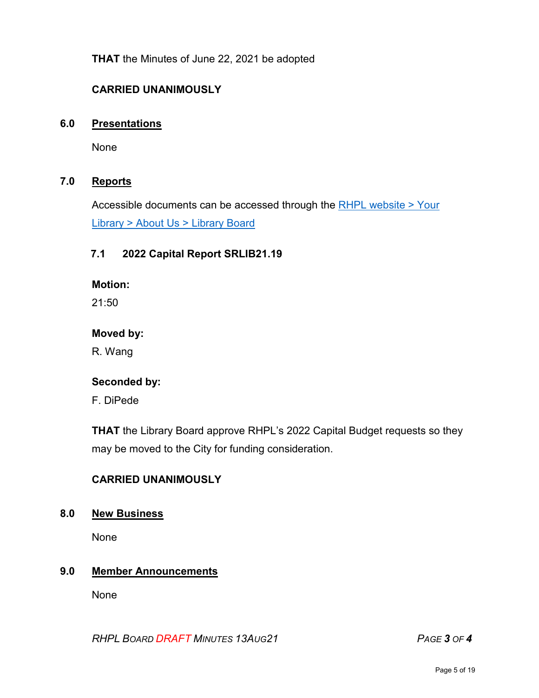**THAT** the Minutes of June 22, 2021 be adopted

## **CARRIED UNANIMOUSLY**

#### **6.0 Presentations**

None

## **7.0 Reports**

Accessible documents can be accessed through the [RHPL website > Your](https://www.rhpl.ca/your-library/about-us/library-board)  Library [> About Us > Library](https://www.rhpl.ca/your-library/about-us/library-board) Board

#### **7.1 2022 Capital Report SRLIB21.19**

**Motion:** 

 $21:50$ 

#### **Moved by:**

R. Wang

#### **Seconded by:**

F. DiPede

**THAT** the Library Board approve RHPL's 2022 Capital Budget requests so they may be moved to the City for funding consideration.

## **CARRIED UNANIMOUSLY**

#### **8.0 New Business**

None

#### **9.0 Member Announcements**

None

*RHPL BOARD DRAFT MINUTES 13AUG21 PAGE 3 OF 4*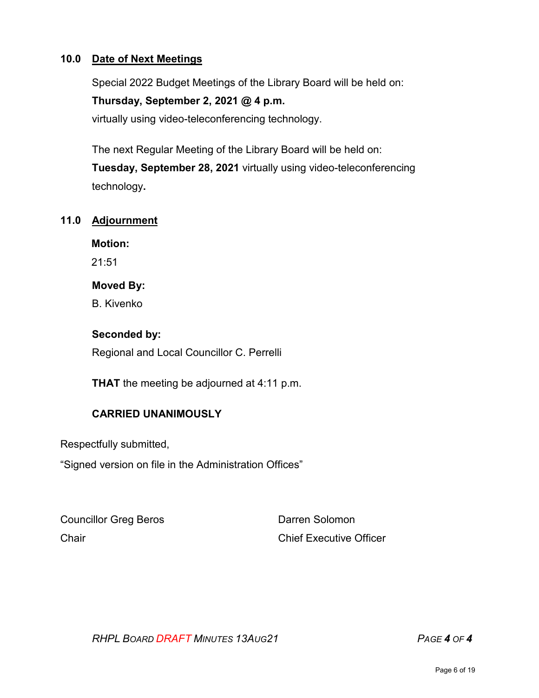## **10.0 Date of Next Meetings**

Special 2022 Budget Meetings of the Library Board will be held on:

## **Thursday, September 2, 2021 @ 4 p.m.**

virtually using video-teleconferencing technology.

The next Regular Meeting of the Library Board will be held on: **Tuesday, September 28, 2021** virtually using video-teleconferencing technology**.** 

### **11.0 Adjournment**

**Motion:** 

21:51

### **Moved By:**

B. Kivenko

## **Seconded by:**

Regional and Local Councillor C. Perrelli

**THAT** the meeting be adjourned at 4:11 p.m.

# **CARRIED UNANIMOUSLY**

Respectfully submitted,

"Signed version on file in the Administration Offices"

Councillor Greg Beros **Darren Solomon** 

Chair Chair Chief Executive Officer

*RHPL BOARD DRAFT MINUTES 13AUG21 PAGE 4 OF 4*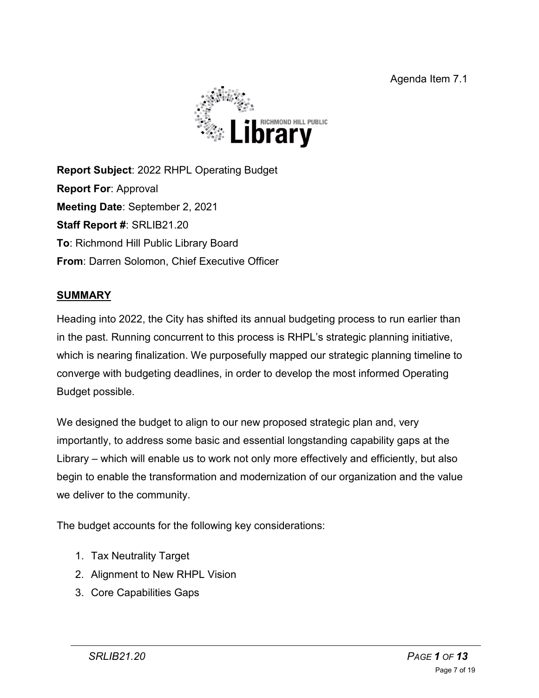Agenda Item 7.1



**Report Subject**: 2022 RHPL Operating Budget **Report For**: Approval **Meeting Date**: September 2, 2021 **Staff Report #**: SRLIB21.20 **To**: Richmond Hill Public Library Board **From**: Darren Solomon, Chief Executive Officer

# **SUMMARY**

Heading into 2022, the City has shifted its annual budgeting process to run earlier than in the past. Running concurrent to this process is RHPL's strategic planning initiative, which is nearing finalization. We purposefully mapped our strategic planning timeline to converge with budgeting deadlines, in order to develop the most informed Operating Budget possible.

We designed the budget to align to our new proposed strategic plan and, very importantly, to address some basic and essential longstanding capability gaps at the Library – which will enable us to work not only more effectively and efficiently, but also begin to enable the transformation and modernization of our organization and the value we deliver to the community.

The budget accounts for the following key considerations:

- 1. Tax Neutrality Target
- 2. Alignment to New RHPL Vision
- 3. Core Capabilities Gaps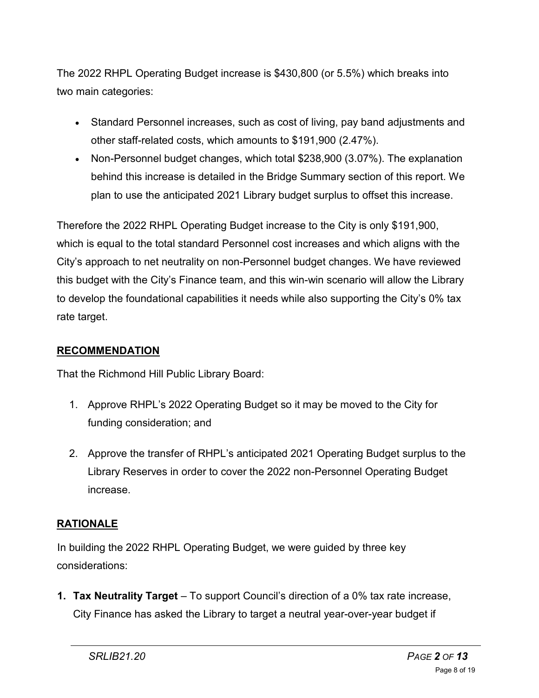The 2022 RHPL Operating Budget increase is \$430,800 (or 5.5%) which breaks into two main categories:

- Standard Personnel increases, such as cost of living, pay band adjustments and other staff-related costs, which amounts to \$191,900 (2.47%).
- Non-Personnel budget changes, which total \$238,900 (3.07%). The explanation behind this increase is detailed in the Bridge Summary section of this report. We plan to use the anticipated 2021 Library budget surplus to offset this increase.

Therefore the 2022 RHPL Operating Budget increase to the City is only \$191,900, which is equal to the total standard Personnel cost increases and which aligns with the City's approach to net neutrality on non-Personnel budget changes. We have reviewed this budget with the City's Finance team, and this win-win scenario will allow the Library to develop the foundational capabilities it needs while also supporting the City's 0% tax rate target.

## **RECOMMENDATION**

That the Richmond Hill Public Library Board:

- 1. Approve RHPL's 2022 Operating Budget so it may be moved to the City for funding consideration; and
- 2. Approve the transfer of RHPL's anticipated 2021 Operating Budget surplus to the Library Reserves in order to cover the 2022 non-Personnel Operating Budget increase.

## **RATIONALE**

In building the 2022 RHPL Operating Budget, we were guided by three key considerations:

**1. Tax Neutrality Target** – To support Council's direction of a 0% tax rate increase, City Finance has asked the Library to target a neutral year-over-year budget if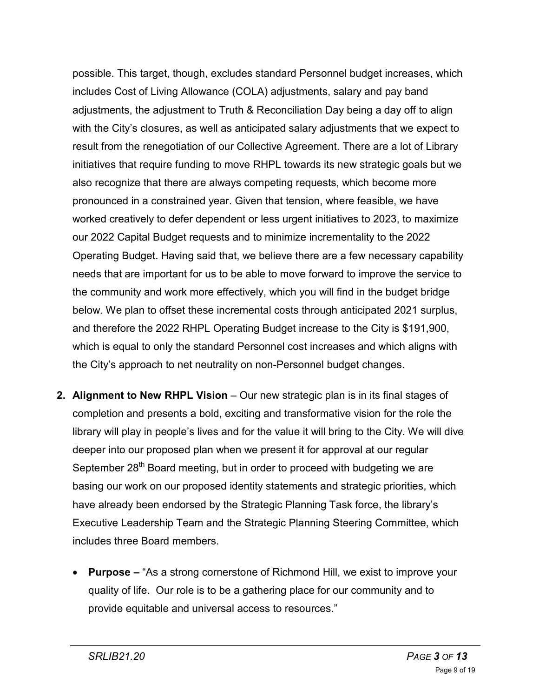possible. This target, though, excludes standard Personnel budget increases, which includes Cost of Living Allowance (COLA) adjustments, salary and pay band adjustments, the adjustment to Truth & Reconciliation Day being a day off to align with the City's closures, as well as anticipated salary adjustments that we expect to result from the renegotiation of our Collective Agreement. There are a lot of Library initiatives that require funding to move RHPL towards its new strategic goals but we also recognize that there are always competing requests, which become more pronounced in a constrained year. Given that tension, where feasible, we have worked creatively to defer dependent or less urgent initiatives to 2023, to maximize our 2022 Capital Budget requests and to minimize incrementality to the 2022 Operating Budget. Having said that, we believe there are a few necessary capability needs that are important for us to be able to move forward to improve the service to the community and work more effectively, which you will find in the budget bridge below. We plan to offset these incremental costs through anticipated 2021 surplus, and therefore the 2022 RHPL Operating Budget increase to the City is \$191,900, which is equal to only the standard Personnel cost increases and which aligns with the City's approach to net neutrality on non-Personnel budget changes.

- **2. Alignment to New RHPL Vision** Our new strategic plan is in its final stages of completion and presents a bold, exciting and transformative vision for the role the library will play in people's lives and for the value it will bring to the City. We will dive deeper into our proposed plan when we present it for approval at our regular September 28<sup>th</sup> Board meeting, but in order to proceed with budgeting we are basing our work on our proposed identity statements and strategic priorities, which have already been endorsed by the Strategic Planning Task force, the library's Executive Leadership Team and the Strategic Planning Steering Committee, which includes three Board members.
	- **Purpose** "As a strong cornerstone of Richmond Hill, we exist to improve your quality of life. Our role is to be a gathering place for our community and to provide equitable and universal access to resources."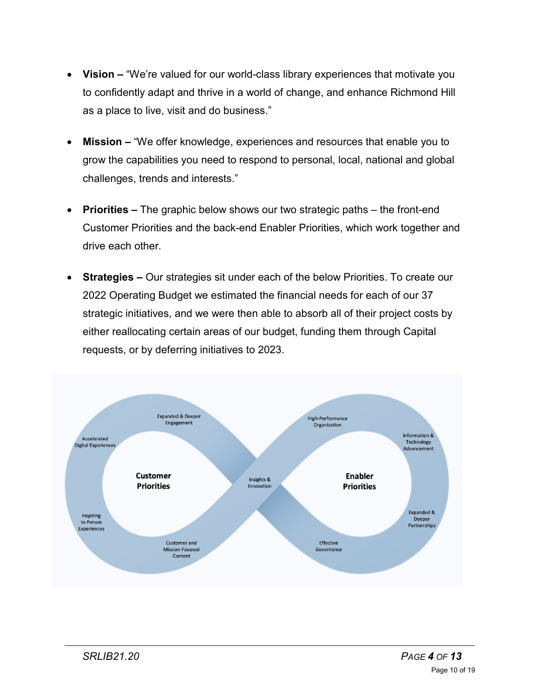- **Vision** "We're valued for our world-class library experiences that motivate you to confidently adapt and thrive in a world of change, and enhance Richmond Hill as a place to live, visit and do business."
- **Mission –** "We offer knowledge, experiences and resources that enable you to grow the capabilities you need to respond to personal, local, national and global challenges, trends and interests."
- **Priorities –** The graphic below shows our two strategic paths the front-end Customer Priorities and the back-end Enabler Priorities, which work together and drive each other.
- **Strategies –** Our strategies sit under each of the below Priorities. To create our 2022 Operating Budget we estimated the financial needs for each of our 37 strategic initiatives, and we were then able to absorb all of their project costs by either reallocating certain areas of our budget, funding them through Capital requests, or by deferring initiatives to 2023.

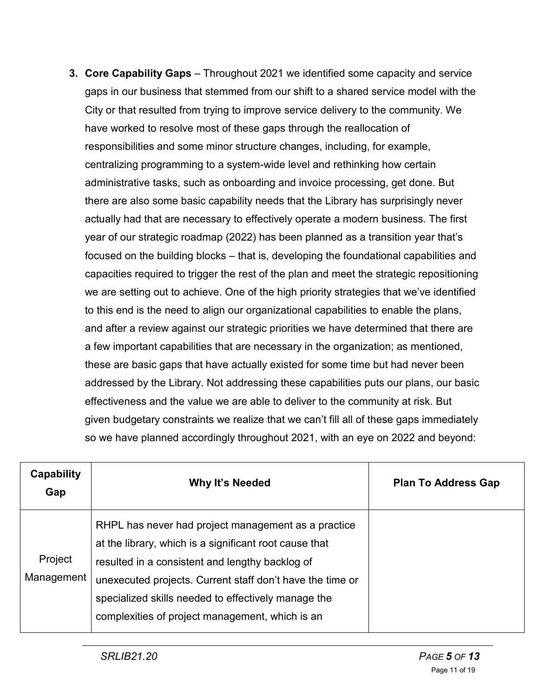**3. Core Capability Gaps** – Throughout 2021 we identified some capacity and service gaps in our business that stemmed from our shift to a shared service model with the City or that resulted from trying to improve service delivery to the community. We have worked to resolve most of these gaps through the reallocation of responsibilities and some minor structure changes, including, for example, centralizing programming to a system-wide level and rethinking how certain administrative tasks, such as onboarding and invoice processing, get done. But there are also some basic capability needs that the Library has surprisingly never actually had that are necessary to effectively operate a modern business. The first year of our strategic roadmap (2022) has been planned as a transition year that's focused on the building blocks – that is, developing the foundational capabilities and capacities required to trigger the rest of the plan and meet the strategic repositioning we are setting out to achieve. One of the high priority strategies that we've identified to this end is the need to align our organizational capabilities to enable the plans, and after a review against our strategic priorities we have determined that there are a few important capabilities that are necessary in the organization; as mentioned, these are basic gaps that have actually existed for some time but had never been addressed by the Library. Not addressing these capabilities puts our plans, our basic effectiveness and the value we are able to deliver to the community at risk. But given budgetary constraints we realize that we can't fill all of these gaps immediately so we have planned accordingly throughout 2021, with an eye on 2022 and beyond:

| <b>Capability</b><br>Gap | Why It's Needed                                                                                                                                                                                                                                                                                                                         | <b>Plan To Address Gap</b> |
|--------------------------|-----------------------------------------------------------------------------------------------------------------------------------------------------------------------------------------------------------------------------------------------------------------------------------------------------------------------------------------|----------------------------|
| Project<br>Management    | RHPL has never had project management as a practice<br>at the library, which is a significant root cause that<br>resulted in a consistent and lengthy backlog of<br>unexecuted projects. Current staff don't have the time or<br>specialized skills needed to effectively manage the<br>complexities of project management, which is an |                            |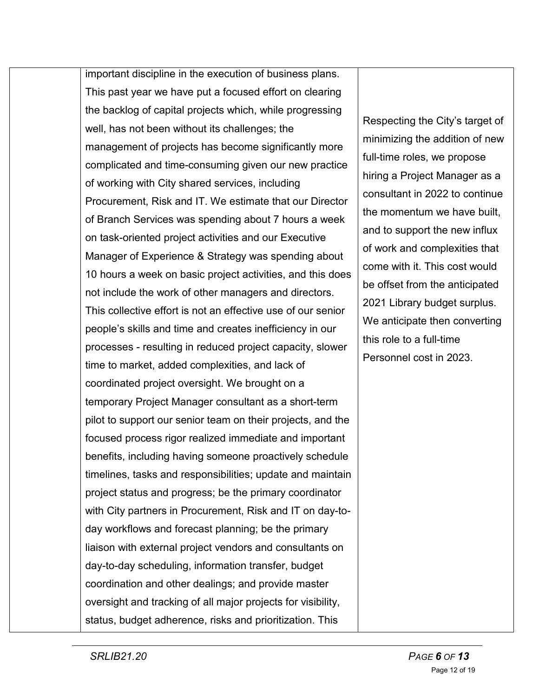important discipline in the execution of business plans. This past year we have put a focused effort on clearing the backlog of capital projects which, while progressing well, has not been without its challenges; the management of projects has become significantly more complicated and time-consuming given our new practice of working with City shared services, including Procurement, Risk and IT. We estimate that our Director of Branch Services was spending about 7 hours a week on task-oriented project activities and our Executive Manager of Experience & Strategy was spending about 10 hours a week on basic project activities, and this does not include the work of other managers and directors. This collective effort is not an effective use of our senior people's skills and time and creates inefficiency in our processes - resulting in reduced project capacity, slower time to market, added complexities, and lack of coordinated project oversight. We brought on a temporary Project Manager consultant as a short-term pilot to support our senior team on their projects, and the focused process rigor realized immediate and important benefits, including having someone proactively schedule timelines, tasks and responsibilities; update and maintain project status and progress; be the primary coordinator with City partners in Procurement, Risk and IT on day-today workflows and forecast planning; be the primary liaison with external project vendors and consultants on day-to-day scheduling, information transfer, budget coordination and other dealings; and provide master oversight and tracking of all major projects for visibility, status, budget adherence, risks and prioritization. This

Respecting the City's target of minimizing the addition of new full-time roles, we propose hiring a Project Manager as a consultant in 2022 to continue the momentum we have built, and to support the new influx of work and complexities that come with it. This cost would be offset from the anticipated 2021 Library budget surplus. We anticipate then converting this role to a full-time Personnel cost in 2023.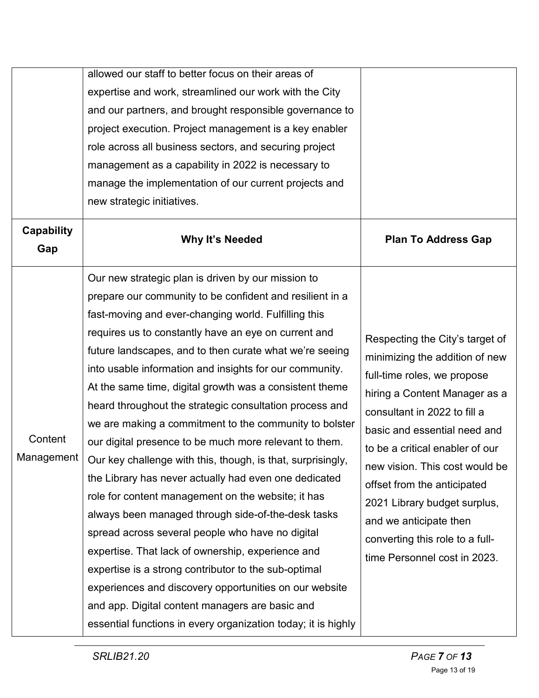|                          | allowed our staff to better focus on their areas of           |                                 |  |  |  |
|--------------------------|---------------------------------------------------------------|---------------------------------|--|--|--|
|                          | expertise and work, streamlined our work with the City        |                                 |  |  |  |
|                          | and our partners, and brought responsible governance to       |                                 |  |  |  |
|                          | project execution. Project management is a key enabler        |                                 |  |  |  |
|                          | role across all business sectors, and securing project        |                                 |  |  |  |
|                          | management as a capability in 2022 is necessary to            |                                 |  |  |  |
|                          | manage the implementation of our current projects and         |                                 |  |  |  |
|                          | new strategic initiatives.                                    |                                 |  |  |  |
| <b>Capability</b><br>Gap | Why It's Needed                                               | <b>Plan To Address Gap</b>      |  |  |  |
|                          | Our new strategic plan is driven by our mission to            |                                 |  |  |  |
|                          | prepare our community to be confident and resilient in a      |                                 |  |  |  |
|                          | fast-moving and ever-changing world. Fulfilling this          | Respecting the City's target of |  |  |  |
|                          | requires us to constantly have an eye on current and          |                                 |  |  |  |
|                          | future landscapes, and to then curate what we're seeing       | minimizing the addition of new  |  |  |  |
|                          | into usable information and insights for our community.       | full-time roles, we propose     |  |  |  |
|                          | At the same time, digital growth was a consistent theme       | hiring a Content Manager as a   |  |  |  |
|                          | heard throughout the strategic consultation process and       | consultant in 2022 to fill a    |  |  |  |
|                          | we are making a commitment to the community to bolster        | basic and essential need and    |  |  |  |
| Content                  | our digital presence to be much more relevant to them.        | to be a critical enabler of our |  |  |  |
| Management               | Our key challenge with this, though, is that, surprisingly,   | new vision. This cost would be  |  |  |  |
|                          | the Library has never actually had even one dedicated         | offset from the anticipated     |  |  |  |
|                          | role for content management on the website; it has            | 2021 Library budget surplus,    |  |  |  |
|                          | always been managed through side-of-the-desk tasks            | and we anticipate then          |  |  |  |
|                          | spread across several people who have no digital              | converting this role to a full- |  |  |  |
|                          | expertise. That lack of ownership, experience and             | time Personnel cost in 2023.    |  |  |  |
|                          | expertise is a strong contributor to the sub-optimal          |                                 |  |  |  |
|                          | experiences and discovery opportunities on our website        |                                 |  |  |  |
|                          | and app. Digital content managers are basic and               |                                 |  |  |  |
|                          | essential functions in every organization today; it is highly |                                 |  |  |  |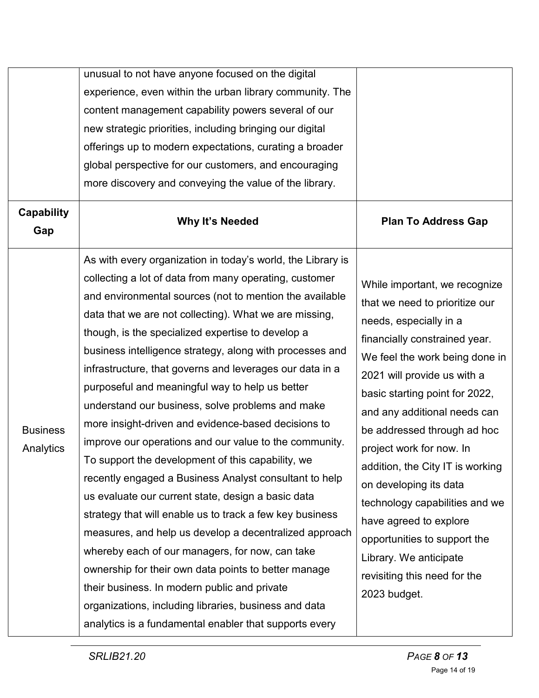|                              | unusual to not have anyone focused on the digital<br>experience, even within the urban library community. The<br>content management capability powers several of our<br>new strategic priorities, including bringing our digital<br>offerings up to modern expectations, curating a broader<br>global perspective for our customers, and encouraging<br>more discovery and conveying the value of the library.                                                                                                                                                                                                                                                                                                                                                                                                                                                                                                                                                                                                                                                                                                                                                                                                           |                                                                                                                                                                                                                                                                                                                                                                                                                                                                                                                                                              |
|------------------------------|--------------------------------------------------------------------------------------------------------------------------------------------------------------------------------------------------------------------------------------------------------------------------------------------------------------------------------------------------------------------------------------------------------------------------------------------------------------------------------------------------------------------------------------------------------------------------------------------------------------------------------------------------------------------------------------------------------------------------------------------------------------------------------------------------------------------------------------------------------------------------------------------------------------------------------------------------------------------------------------------------------------------------------------------------------------------------------------------------------------------------------------------------------------------------------------------------------------------------|--------------------------------------------------------------------------------------------------------------------------------------------------------------------------------------------------------------------------------------------------------------------------------------------------------------------------------------------------------------------------------------------------------------------------------------------------------------------------------------------------------------------------------------------------------------|
| Capability<br>Gap            | Why It's Needed                                                                                                                                                                                                                                                                                                                                                                                                                                                                                                                                                                                                                                                                                                                                                                                                                                                                                                                                                                                                                                                                                                                                                                                                          | <b>Plan To Address Gap</b>                                                                                                                                                                                                                                                                                                                                                                                                                                                                                                                                   |
| <b>Business</b><br>Analytics | As with every organization in today's world, the Library is<br>collecting a lot of data from many operating, customer<br>and environmental sources (not to mention the available<br>data that we are not collecting). What we are missing,<br>though, is the specialized expertise to develop a<br>business intelligence strategy, along with processes and<br>infrastructure, that governs and leverages our data in a<br>purposeful and meaningful way to help us better<br>understand our business, solve problems and make<br>more insight-driven and evidence-based decisions to<br>improve our operations and our value to the community.<br>To support the development of this capability, we<br>recently engaged a Business Analyst consultant to help<br>us evaluate our current state, design a basic data<br>strategy that will enable us to track a few key business<br>measures, and help us develop a decentralized approach<br>whereby each of our managers, for now, can take<br>ownership for their own data points to better manage<br>their business. In modern public and private<br>organizations, including libraries, business and data<br>analytics is a fundamental enabler that supports every | While important, we recognize<br>that we need to prioritize our<br>needs, especially in a<br>financially constrained year.<br>We feel the work being done in<br>2021 will provide us with a<br>basic starting point for 2022,<br>and any additional needs can<br>be addressed through ad hoc<br>project work for now. In<br>addition, the City IT is working<br>on developing its data<br>technology capabilities and we<br>have agreed to explore<br>opportunities to support the<br>Library. We anticipate<br>revisiting this need for the<br>2023 budget. |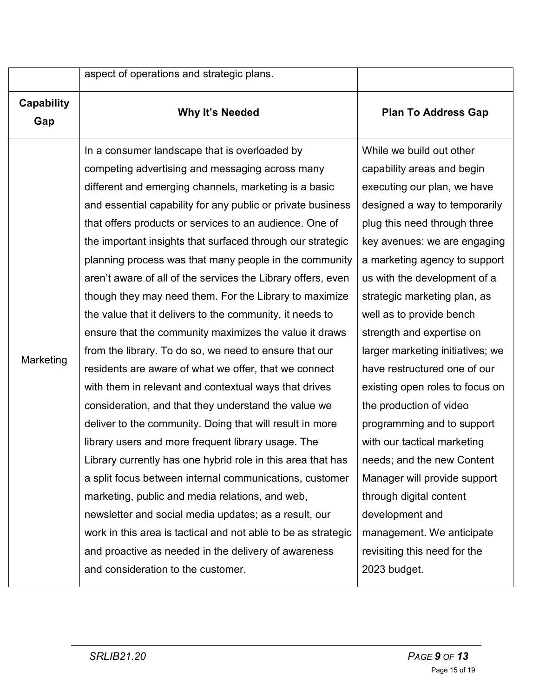|                          | aspect of operations and strategic plans.                                                                                                                                                                                                                                                                                                                                                                                                                                                                                                                                                                                                                                                                                                                                                                                                                                                                                                                                                                                                                                                                                                                                                                                                                                                                                                                                        |                                                                                                                                                                                                                                                                                                                                                                                                                                                                                                                                                                                                                                                                                                                          |
|--------------------------|----------------------------------------------------------------------------------------------------------------------------------------------------------------------------------------------------------------------------------------------------------------------------------------------------------------------------------------------------------------------------------------------------------------------------------------------------------------------------------------------------------------------------------------------------------------------------------------------------------------------------------------------------------------------------------------------------------------------------------------------------------------------------------------------------------------------------------------------------------------------------------------------------------------------------------------------------------------------------------------------------------------------------------------------------------------------------------------------------------------------------------------------------------------------------------------------------------------------------------------------------------------------------------------------------------------------------------------------------------------------------------|--------------------------------------------------------------------------------------------------------------------------------------------------------------------------------------------------------------------------------------------------------------------------------------------------------------------------------------------------------------------------------------------------------------------------------------------------------------------------------------------------------------------------------------------------------------------------------------------------------------------------------------------------------------------------------------------------------------------------|
| <b>Capability</b><br>Gap | Why It's Needed                                                                                                                                                                                                                                                                                                                                                                                                                                                                                                                                                                                                                                                                                                                                                                                                                                                                                                                                                                                                                                                                                                                                                                                                                                                                                                                                                                  | <b>Plan To Address Gap</b>                                                                                                                                                                                                                                                                                                                                                                                                                                                                                                                                                                                                                                                                                               |
| Marketing                | In a consumer landscape that is overloaded by<br>competing advertising and messaging across many<br>different and emerging channels, marketing is a basic<br>and essential capability for any public or private business<br>that offers products or services to an audience. One of<br>the important insights that surfaced through our strategic<br>planning process was that many people in the community<br>aren't aware of all of the services the Library offers, even<br>though they may need them. For the Library to maximize<br>the value that it delivers to the community, it needs to<br>ensure that the community maximizes the value it draws<br>from the library. To do so, we need to ensure that our<br>residents are aware of what we offer, that we connect<br>with them in relevant and contextual ways that drives<br>consideration, and that they understand the value we<br>deliver to the community. Doing that will result in more<br>library users and more frequent library usage. The<br>Library currently has one hybrid role in this area that has<br>a split focus between internal communications, customer<br>marketing, public and media relations, and web,<br>newsletter and social media updates; as a result, our<br>work in this area is tactical and not able to be as strategic<br>and proactive as needed in the delivery of awareness | While we build out other<br>capability areas and begin<br>executing our plan, we have<br>designed a way to temporarily<br>plug this need through three<br>key avenues: we are engaging<br>a marketing agency to support<br>us with the development of a<br>strategic marketing plan, as<br>well as to provide bench<br>strength and expertise on<br>larger marketing initiatives; we<br>have restructured one of our<br>existing open roles to focus on<br>the production of video<br>programming and to support<br>with our tactical marketing<br>needs; and the new Content<br>Manager will provide support<br>through digital content<br>development and<br>management. We anticipate<br>revisiting this need for the |
|                          | and consideration to the customer.                                                                                                                                                                                                                                                                                                                                                                                                                                                                                                                                                                                                                                                                                                                                                                                                                                                                                                                                                                                                                                                                                                                                                                                                                                                                                                                                               | 2023 budget.                                                                                                                                                                                                                                                                                                                                                                                                                                                                                                                                                                                                                                                                                                             |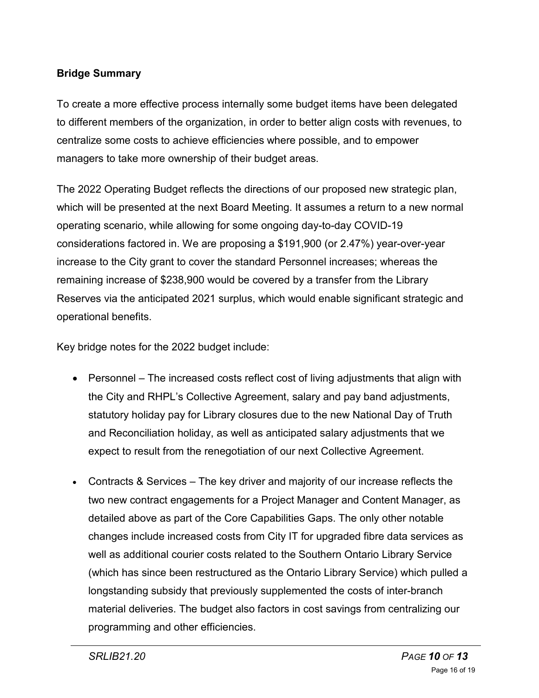# **Bridge Summary**

To create a more effective process internally some budget items have been delegated to different members of the organization, in order to better align costs with revenues, to centralize some costs to achieve efficiencies where possible, and to empower managers to take more ownership of their budget areas.

The 2022 Operating Budget reflects the directions of our proposed new strategic plan, which will be presented at the next Board Meeting. It assumes a return to a new normal operating scenario, while allowing for some ongoing day-to-day COVID-19 considerations factored in. We are proposing a \$191,900 (or 2.47%) year-over-year increase to the City grant to cover the standard Personnel increases; whereas the remaining increase of \$238,900 would be covered by a transfer from the Library Reserves via the anticipated 2021 surplus, which would enable significant strategic and operational benefits.

Key bridge notes for the 2022 budget include:

- Personnel The increased costs reflect cost of living adjustments that align with the City and RHPL's Collective Agreement, salary and pay band adjustments, statutory holiday pay for Library closures due to the new National Day of Truth and Reconciliation holiday, as well as anticipated salary adjustments that we expect to result from the renegotiation of our next Collective Agreement.
- Contracts & Services The key driver and majority of our increase reflects the two new contract engagements for a Project Manager and Content Manager, as detailed above as part of the Core Capabilities Gaps. The only other notable changes include increased costs from City IT for upgraded fibre data services as well as additional courier costs related to the Southern Ontario Library Service (which has since been restructured as the Ontario Library Service) which pulled a longstanding subsidy that previously supplemented the costs of inter-branch material deliveries. The budget also factors in cost savings from centralizing our programming and other efficiencies.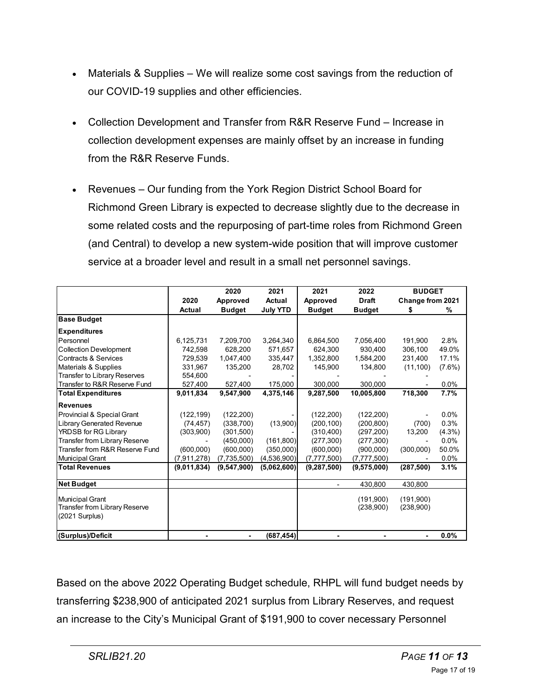- Materials & Supplies We will realize some cost savings from the reduction of our COVID-19 supplies and other efficiencies.
- Collection Development and Transfer from R&R Reserve Fund Increase in collection development expenses are mainly offset by an increase in funding from the R&R Reserve Funds.
- Revenues Our funding from the York Region District School Board for Richmond Green Library is expected to decrease slightly due to the decrease in some related costs and the repurposing of part-time roles from Richmond Green (and Central) to develop a new system-wide position that will improve customer service at a broader level and result in a small net personnel savings.

|                                                                             |               | 2020          | 2021            | 2021          | 2022                   | <b>BUDGET</b>          |           |
|-----------------------------------------------------------------------------|---------------|---------------|-----------------|---------------|------------------------|------------------------|-----------|
|                                                                             | 2020          | Approved      | <b>Actual</b>   | Approved      | <b>Draft</b>           | Change from 2021       |           |
|                                                                             | Actual        | <b>Budget</b> | <b>July YTD</b> | <b>Budget</b> | <b>Budget</b>          | \$                     | %         |
| <b>Base Budget</b>                                                          |               |               |                 |               |                        |                        |           |
| <b>Expenditures</b>                                                         |               |               |                 |               |                        |                        |           |
| Personnel                                                                   | 6,125,731     | 7,209,700     | 3,264,340       | 6,864,500     | 7,056,400              | 191,900                | 2.8%      |
| <b>Collection Development</b>                                               | 742.598       | 628,200       | 571.657         | 624.300       | 930.400                | 306,100                | 49.0%     |
| <b>Contracts &amp; Services</b>                                             | 729,539       | 1,047,400     | 335,447         | 1,352,800     | 1,584,200              | 231,400                | 17.1%     |
| Materials & Supplies                                                        | 331,967       | 135,200       | 28,702          | 145,900       | 134,800                | (11, 100)              | $(7.6\%)$ |
| Transfer to Library Reserves                                                | 554,600       |               |                 |               |                        |                        |           |
| Transfer to R&R Reserve Fund                                                | 527,400       | 527,400       | 175,000         | 300,000       | 300,000                |                        | 0.0%      |
| <b>Total Expenditures</b>                                                   | 9,011,834     | 9.547.900     | 4,375,146       | 9,287,500     | 10.005.800             | 718,300                | 7.7%      |
| <b>Revenues</b>                                                             |               |               |                 |               |                        |                        |           |
| Provincial & Special Grant                                                  | (122, 199)    | (122, 200)    |                 | (122, 200)    | (122, 200)             |                        | 0.0%      |
| <b>Library Generated Revenue</b>                                            | (74, 457)     | (338,700)     | (13,900)        | (200, 100)    | (200, 800)             | (700)                  | 0.3%      |
| YRDSB for RG Library                                                        | (303,900)     | (301,500)     |                 | (310, 400)    | (297, 200)             | 13,200                 | $(4.3\%)$ |
| Transfer from Library Reserve                                               |               | (450,000)     | (161, 800)      | (277, 300)    | (277, 300)             |                        | 0.0%      |
| Transfer from R&R Reserve Fund                                              | (600,000)     | (600, 000)    | (350,000)       | (600, 000)    | (900,000)              | (300,000)              | 50.0%     |
| <b>Municipal Grant</b>                                                      | (7, 911, 278) | (7,735,500)   | (4,536,900)     | (7,777,500)   | (7, 777, 500)          |                        | $0.0\%$   |
| <b>Total Revenues</b>                                                       | (9,011,834)   | (9,547,900)   | (5,062,600)     | (9,287,500)   | (9,575,000)            | (287, 500)             | 3.1%      |
| <b>Net Budget</b>                                                           |               |               |                 | ٠             | 430,800                | 430,800                |           |
| <b>Municipal Grant</b><br>Transfer from Library Reserve<br>$(2021$ Surplus) |               |               |                 |               | (191.900)<br>(238,900) | (191.900)<br>(238,900) |           |
| (Surplus)/Deficit                                                           |               |               | (687, 454)      |               |                        |                        | 0.0%      |

Based on the above 2022 Operating Budget schedule, RHPL will fund budget needs by transferring \$238,900 of anticipated 2021 surplus from Library Reserves, and request an increase to the City's Municipal Grant of \$191,900 to cover necessary Personnel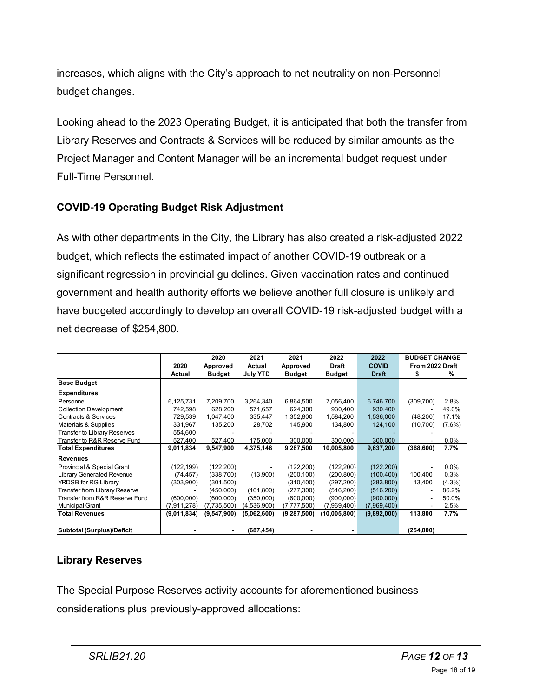increases, which aligns with the City's approach to net neutrality on non-Personnel budget changes.

Looking ahead to the 2023 Operating Budget, it is anticipated that both the transfer from Library Reserves and Contracts & Services will be reduced by similar amounts as the Project Manager and Content Manager will be an incremental budget request under Full-Time Personnel.

# **COVID-19 Operating Budget Risk Adjustment**

As with other departments in the City, the Library has also created a risk-adjusted 2022 budget, which reflects the estimated impact of another COVID-19 outbreak or a significant regression in provincial guidelines. Given vaccination rates and continued government and health authority efforts we believe another full closure is unlikely and have budgeted accordingly to develop an overall COVID-19 risk-adjusted budget with a net decrease of \$254,800.

|                                     |                          | 2020          | 2021            | 2021          | 2022          | 2022         | <b>BUDGET CHANGE</b> |           |
|-------------------------------------|--------------------------|---------------|-----------------|---------------|---------------|--------------|----------------------|-----------|
|                                     | 2020                     | Approved      | Actual          | Approved      | Draft         | <b>COVID</b> | From 2022 Draft      |           |
|                                     | Actual                   | <b>Budget</b> | <b>July YTD</b> | <b>Budget</b> | <b>Budget</b> | <b>Draft</b> | \$                   | %         |
| <b>Base Budget</b>                  |                          |               |                 |               |               |              |                      |           |
| <b>Expenditures</b>                 |                          |               |                 |               |               |              |                      |           |
| Personnel                           | 6,125,731                | 7,209,700     | 3,264,340       | 6,864,500     | 7,056,400     | 6,746,700    | (309,700)            | 2.8%      |
| <b>Collection Development</b>       | 742.598                  | 628,200       | 571,657         | 624.300       | 930.400       | 930,400      |                      | 49.0%     |
| <b>Contracts &amp; Services</b>     | 729.539                  | 1,047,400     | 335,447         | 1,352,800     | 1,584,200     | 1,536,000    | (48,200)             | 17.1%     |
| Materials & Supplies                | 331.967                  | 135,200       | 28,702          | 145,900       | 134,800       | 124,100      | (10, 700)            | $(7.6\%)$ |
| <b>Transfer to Library Reserves</b> | 554,600                  |               |                 |               |               |              |                      |           |
| Transfer to R&R Reserve Fund        | 527,400                  | 527,400       | 175,000         | 300,000       | 300,000       | 300,000      |                      | $0.0\%$   |
| <b>Total Expenditures</b>           | 9,011,834                | 9,547,900     | 4,375,146       | 9,287,500     | 10,005,800    | 9,637,200    | (368, 600)           | 7.7%      |
| <b>Revenues</b>                     |                          |               |                 |               |               |              |                      |           |
| Provincial & Special Grant          | (122, 199)               | (122, 200)    |                 | (122,200)     | (122, 200)    | (122, 200)   |                      | $0.0\%$   |
| Library Generated Revenue           | (74, 457)                | (338,700)     | (13,900)        | (200, 100)    | (200, 800)    | (100, 400)   | 100,400              | 0.3%      |
| YRDSB for RG Library                | (303,900)                | (301,500)     |                 | (310, 400)    | (297, 200)    | (283, 800)   | 13,400               | $(4.3\%)$ |
| Transfer from Library Reserve       | $\overline{\phantom{a}}$ | (450,000)     | (161, 800)      | (277, 300)    | (516, 200)    | (516, 200)   | ٠                    | 86.2%     |
| Transfer from R&R Reserve Fund      | (600,000)                | (600,000)     | (350,000)       | (600,000)     | (900,000)     | (900,000)    | ٠                    | 50.0%     |
| <b>Municipal Grant</b>              | (7,911,278)              | (7,735,500)   | (4,536,900)     | (7, 777, 500) | (7,969,400)   | (7,969,400)  |                      | 2.5%      |
| <b>Total Revenues</b>               | (9,011,834)              | (9,547,900)   | (5,062,600)     | (9, 287, 500) | (10,005,800)  | (9,892,000)  | 113,800              | 7.7%      |
|                                     |                          |               |                 |               |               |              |                      |           |
| Subtotal (Surplus)/Deficit          |                          |               | (687,454)       |               |               |              | (254, 800)           |           |

# **Library Reserves**

The Special Purpose Reserves activity accounts for aforementioned business considerations plus previously-approved allocations: